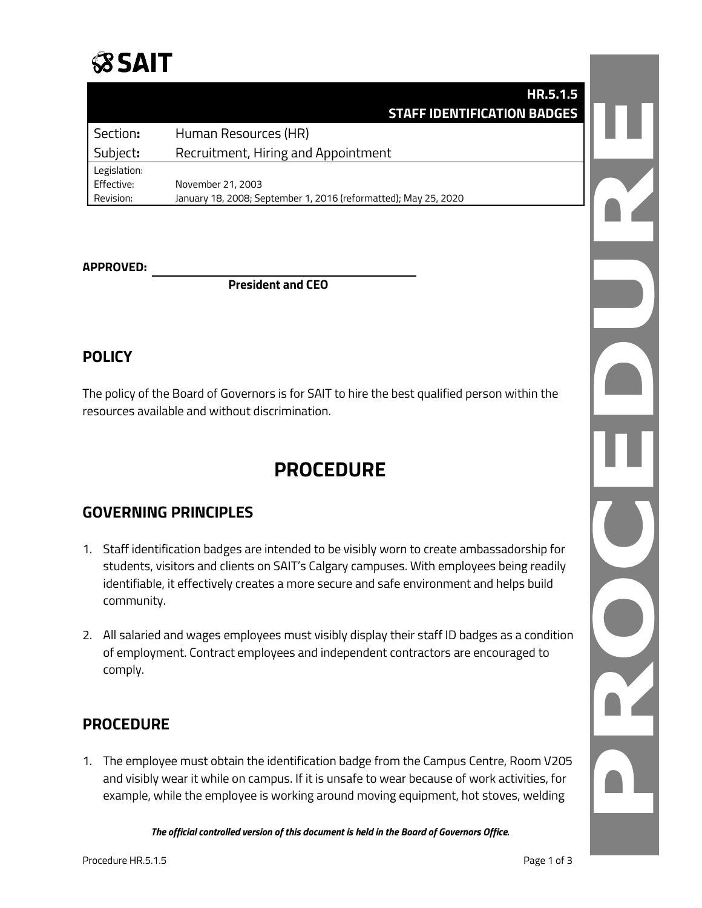

#### **HR.5.1.5 STAFF IDENTIFICATION BADGES**

| Section:     | Human Resources (HR)                                            |
|--------------|-----------------------------------------------------------------|
| Subject:     | Recruitment, Hiring and Appointment                             |
| Legislation: |                                                                 |
| Effective:   | November 21, 2003                                               |
| Revision:    | January 18, 2008; September 1, 2016 (reformatted); May 25, 2020 |

#### **APPROVED:**

**President and CEO**

#### **POLICY**

The policy of the Board of Governors is for SAIT to hire the best qualified person within the resources available and without discrimination.

### **PROCEDURE**

#### **GOVERNING PRINCIPLES**

- 1. Staff identification badges are intended to be visibly worn to create ambassadorship for students, visitors and clients on SAIT's Calgary campuses. With employees being readily identifiable, it effectively creates a more secure and safe environment and helps build community.
- 2. All salaried and wages employees must visibly display their staff ID badges as a condition of employment. Contract employees and independent contractors are encouraged to comply.

#### **PROCEDURE**

1. The employee must obtain the identification badge from the Campus Centre, Room V205 and visibly wear it while on campus. If it is unsafe to wear because of work activities, for example, while the employee is working around moving equipment, hot stoves, welding

*The official controlled version of this document is held in the Board of Governors Office.*

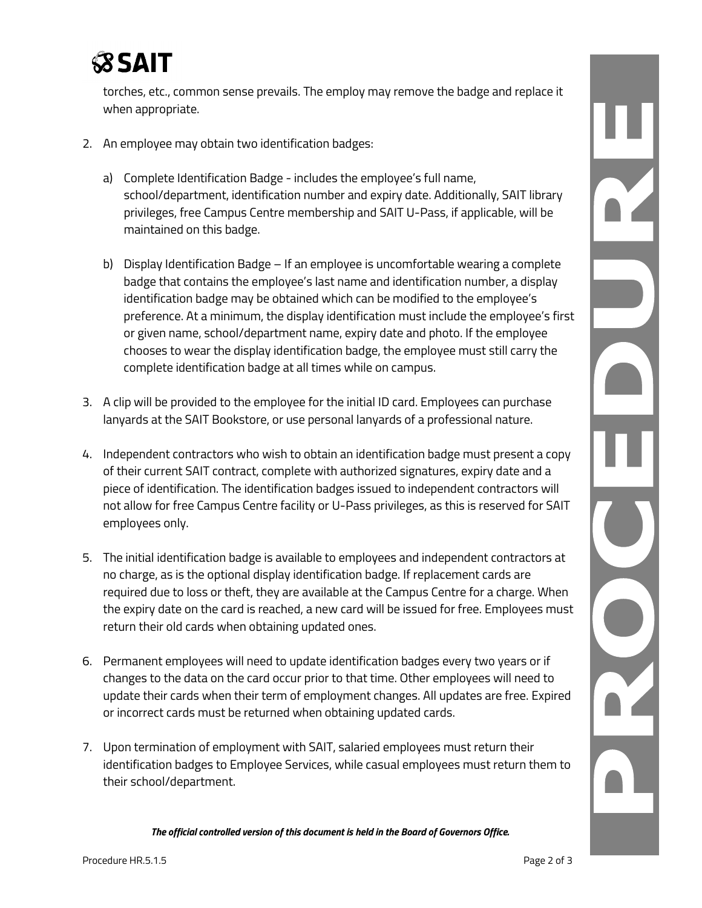# **SSSAIT**

torches, etc., common sense prevails. The employ may remove the badge and replace it when appropriate.

- 2. An employee may obtain two identification badges:
	- a) Complete Identification Badge includes the employee's full name, school/department, identification number and expiry date. Additionally, SAIT library privileges, free Campus Centre membership and SAIT U-Pass, if applicable, will be maintained on this badge.
	- b) Display Identification Badge If an employee is uncomfortable wearing a complete badge that contains the employee's last name and identification number, a display identification badge may be obtained which can be modified to the employee's preference. At a minimum, the display identification must include the employee's first or given name, school/department name, expiry date and photo. If the employee chooses to wear the display identification badge, the employee must still carry the complete identification badge at all times while on campus.
- 3. A clip will be provided to the employee for the initial ID card. Employees can purchase lanyards at the SAIT Bookstore, or use personal lanyards of a professional nature.
- 4. Independent contractors who wish to obtain an identification badge must present a copy of their current SAIT contract, complete with authorized signatures, expiry date and a piece of identification. The identification badges issued to independent contractors will not allow for free Campus Centre facility or U-Pass privileges, as this is reserved for SAIT employees only.
- 5. The initial identification badge is available to employees and independent contractors at no charge, as is the optional display identification badge. If replacement cards are required due to loss or theft, they are available at the Campus Centre for a charge. When the expiry date on the card is reached, a new card will be issued for free. Employees must return their old cards when obtaining updated ones.
- 6. Permanent employees will need to update identification badges every two years or if changes to the data on the card occur prior to that time. Other employees will need to update their cards when their term of employment changes. All updates are free. Expired or incorrect cards must be returned when obtaining updated cards.
- 7. Upon termination of employment with SAIT, salaried employees must return their identification badges to Employee Services, while casual employees must return them to their school/department.

*The official controlled version of this document is held in the Board of Governors Office.*